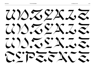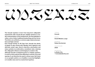# UnzyalE

**The Unzyale typeface is born from long-term calligraphic experiments with a broad nib pen. Initially started as a modern interpretation of the Unzialschrift, the final alphabet is rather a mix of other traditional handwriting and free forms. The letters are unified by a common angle, balanced proportions and high contrast.**

**Even though beeing an All Caps font, Unzyale has plenty of glyphs to play around with. Besides fancy ligatures and alternate swash caps, there're diacritics, punctuation and many symbols in an alternative, monolinear style, reducing the calligraphic influence and bringing in a modern vibe.**

**Although Unzyale is designed purely as a display typeface, it comes in three optical sizes differing in contrast, form and spacing. It can therefore be used in various ways; full-frame or as a graphic pattern, as a headline or punctual highlight, or in smaller sizes next to a neutral text typeface.**

#### TYPEFACE

**Unzyale**

WEIGHTS

**Small, Medium, Large**

DESIGNED BY

**Fabian Dornhecker**

YEAR OF RELEASE

**2020**

AVAILABLE ON

**La Bolde Vita → www.laboldevita.com**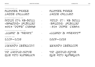## No layout-zone **→** No Layout-Zone que von Aufbruch **→** Que Von AufbRuch

STYLISTIC ALTERNATES **▶** SALT

## ¿¡Jamón Ibérico!? **→** ¿¡Jamón Ibérico!?

CONTEXTUAL ALTERNATES **▶** CALT

### 2009—2035 **<sup>→</sup>** 2009—2035

SLASHED ZERO **▶** ZERO

STYLISTIC SET 02 (Heavy Quotation Marks) **▶** SS02

| STYLISTIC SET 01 (Monolinear forms) ▶ SS01 |  |
|--------------------------------------------|--|
| WOLO 27% XB-SOUL                           |  |
| ASPEÖDÉ» IPLŠKUR?                          |  |
| $\approx$ 52\$ "DOPE" CASHE                |  |

| RUMMER PXXRE |  |
|--------------|--|
| エスここミ てんこふここ |  |

STANDARD LIGATURES **▶** LIGA

'Light' & "Heavy" **<sup>→</sup>** 'Light' & "Heavy"

{Void} 27% Ab-Soul **<sup>→</sup>** {Void} 27% Ab-Soul «spłódź» ¿Piškur? **<sup>→</sup>** «spłódź» ¿Piškur? #52\$ "dope" Cash® **<sup>→</sup>** #52\$ "dope" Cash®

→ **Aumer PAARE** Latte Chilled **→** Latte Chilled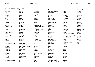#### SUPPORTED LANGUAGES / GLYPH COVERAGE

| Abenaki                      |
|------------------------------|
| <b>Afaan Oromo</b>           |
| Afar                         |
| Afrikaans                    |
| <b>Albanian</b>              |
| Alsatian                     |
| Amis                         |
| Anuta                        |
| Aragonese                    |
| Aranese                      |
| Aromanian                    |
| Arrernte                     |
| Arvanitic (Latin)            |
| Asturian                     |
| Atayal                       |
| Aymara                       |
| <b>Bashkir (Latin)</b>       |
| <b>Basque</b>                |
| <b>Belarusian (Latin)</b>    |
| Bemba                        |
| Bikol                        |
| <b>Bislama</b>               |
| <b>Bosnian</b>               |
| <b>Breton</b>                |
| <b>Cape Verdean Creole</b>   |
| Catalan                      |
| Cebuano                      |
| Chamorro                     |
| Chavacano                    |
| Chichewa                     |
| Chickasaw                    |
| Cimbrian                     |
| Cofán                        |
| Cornish                      |
| Corsican                     |
| <b>Creek</b>                 |
| <b>Crimean Tatar (Latin)</b> |
| Croatian                     |

**Czech Danish Dawan Delaware Dholuo Drehu Dutch English Esperanto Estonian Faroese Fijian Filipino Finnish Folkspraak French Frisian Friulian Gagauz (Latin) Galician Ganda Genoese German Gikuyu Gooniyandi Greenlandic (Kalaallisut) Guadeloupean Creole Gwich'in Haitian Creole Hän Hawaiian Hiligaynon Hopi Hotcąk (Latin) Hungarian Icelandic Ido Igbo**

**Ilocano Indonesian Interglossa Interlingua Irish Istro-Romanian Italian Jamaican Javanese (Latin) Jèrriais Kaingang Kala Lagaw Ya Kapampangan (Latin) Kaqchikel Karakalpak (Latin) Karelian (Latin) Kashubian Kikongo Kinyarwanda Kiribati Kirundi Klingon Kurdish (Latin) Ladin Latin Latino sine Flexione Latvian Lithuanian Lojban Lombard Low Saxon Luxembourgish Maasai Makhuwa Malay Maltese Manx Māori**

**Marquesan Megleno-Romanian Meriam Mir Mirandese Mohawk Moldovan Montagnais Montenegrin Murrinh-Patha Nagamese Creole Nahuatl Ndebele Neapolitan Ngiyambaa Niuean Noongar Norwegian Novial Occidental Occitan Onĕipŏt Oshiwambo Ossetian (Latin) Palauan Papiamento Piedmontese Polish Portuguese Potawatomi Q'eqchi' Quechua Rarotongan Romanian Romansh Rotokas Sami (Inari Sami) Sami (Lule Sami) Sami (Northern Sami)** **Sami (Southern Sami) Samoan Sango Saramaccan Sardinian Scottish Gaelic Serbian (Latin) Seri Seychellois Creole Shawnee Shona Sicilian Silesian Slovak Slovenian Slovio (Latin) Somali Sorbian (Lower Sorbian) Sorbian (Upper Sorbian) Sotho (Northern) Sotho (Southern) Spanish Sranan Sundanese (Latin) Swahili Swazi Swedish Tagalog Tahitian Tetum Tok Pisin Tokelauan Tongan Tshiluba Tsonga Tswana Tumbuka Turkish**

**Turkmen (Latin) Tuvaluan Tzotzil Uzbek (Latin) Venetian Vepsian Volapük Võro Wallisian Walloon Waray-Waray Warlpiri Wayuu Welsh Wik-Mungkan Wiradjuri Wolof Xavante Xhosa Yapese Yindjibarndi Zapotec Zazaki Zulu Zuni**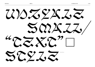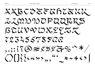XXBCOZZTGRZZZZ LIMMNOPQUERS BEUVVUXYEZZ 72325578722 ,.;: ?? @ # x \$ y & % ~ \* /  $O(3344*)$ , "  $\approx$  + ()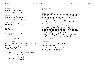#### $2/22$  $\{\{\}\otimes\otimes\otimes\varphi\circ\omega\circ\varphi\circ\pi + \pm\varphi\}$

PUNCTUATION

$$
+ + \sim -\pm \pm \times \div \div \approx = \not\approx \div \approx \div \leftrightarrow \searrow \leq \geq
$$
\n
$$
\sim \sim \sim \sim \sim / / | | \bigg\{ | \div \circ \otimes \otimes \circ \otimes \circ
$$
\n
$$
\triangle \Omega \times \pi \int \triangle \Pi \Sigma \sim \infty
$$

**MATHEMATICAL SYMBOLS** 

#### $08723255785$

**FIGURES** 

#### $X$   $X$   $Z$   $Y$   $Q$   $R$   $Q$   $Q$   $Z$

**STYLISTIC ALTERNATES** 

#### ΠÄΠÃ XO.

CONTEXTUAL ALTERNATES

#### 200 202 200 55 56 22, 000 CC

STANDARD LIGATURES

#### XBCOEFGRIEULMY *OPQRSBCUVOXYZ*

**LOWERCASE** 

#### XBCOZEGRIZXL2000  $\texttt{DPARSECHV} \texttt{D} \texttt{X} \texttt{Y} \texttt{Z}$

**UPPERCASE** 

UNZYALE

 $\vec{z}$ ,  $\vec{z}$ ,  $\vec{z}$ ,  $\vec{z}$ ,  $\vec{z}$ ,  $\vec{z}$ OTHER SYMBOLS  $\not\in \mathcal{I} \not\in \mathcal{I} \not\in \mathcal{I} \not\in \mathcal{I} \not\cong \mathcal{I} \times \mathcal{I} \times \mathcal{I} \times \mathcal{I} \times \mathcal{I} \times \mathcal{I} \times \mathcal{I} \times \mathcal{I} \times \mathcal{I} \times \mathcal{I} \times \mathcal{I} \times \mathcal{I} \times \mathcal{I} \times \mathcal{I} \times \mathcal{I} \times \mathcal{I} \times \mathcal{I} \times \mathcal{I} \times \mathcal{I} \times \mathcal{I} \times \mathcal{I} \times \mathcal{I} \$  $X\ddot{o} \circ \Diamond \ominus \neg \lessapprox \frac{18}{100}$ ←↑↓→↔⇕↖↗<sub>NK</sub>▲▼▶◀⊿⊾◤◥ ■□◆◇●○◆◇●○米

ACCENTED CHARACTERS *``\*\*\*\*\*\*\*\*\*\*\*\*\*\*\*\*\*\*\*\*\**\* ほぶにん くくくくくぐぐくくく ももううもつ **まままままままままままままままま** ZZZZ GGĞĞĞGÇÇĞĞ TRAA \*\*\*\*\*\*\*\*\*\*\*\*\*\*\*\*\*\*\*\* tatata ââ uuu ii,aanas  $\tilde{p}$   $\tilde{p}$   $\tilde{p}$   $\tilde{p}$   $\tilde{p}$   $\tilde{p}$   $\tilde{p}$   $\tilde{p}$   $\tilde{p}$   $\tilde{p}$   $\tilde{p}$   $\tilde{p}$   $\tilde{p}$   $\tilde{p}$   $\tilde{p}$   $\tilde{p}$   $\tilde{p}$   $\tilde{p}$   $\tilde{p}$   $\tilde{p}$   $\tilde{p}$   $\tilde{p}$   $\tilde{p}$   $\tilde{p}$   $\tilde{$ *Odupán a zopočobo dvoje d* ŚŚŚŚȘȘȘȘŚŠ ¢¢ččee *ūùüúü̃ûüüūūūū̃üŭůůůüūuuu*  $\tilde{x}$  theoretically the state  $\tilde{z}$  of  $\tilde{z}$  of  $\tilde{z}$  of  $\tilde{z}$  of  $\tilde{z}$  of  $\tilde{z}$  of  $\tilde{z}$ 

 $\bullet \bullet \bullet \rightarrow \bullet$  /  $\bullet \land \bullet \lor \bullet \cup \bullet \circ \bullet \sim \bullet$  // /  $\bullet \circ$ 

**DIACRITICAL MARKS** 

 $55669955$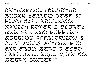CANGERINE CHESCISUC SUGAR YELLOW DEEP 57 PEANUCS WATERGATE Xanith Rover 2-storey GEE 54 CENT BUBBLES Jobbing Application 8 to 7 Query 6-Nine but far from Zero 3 Eyed FARZWZZZ AQUA QUIZOCZ ZEBRX CULLER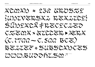$XCONX > 259$  GROSZY {UNUVERSKI REXICE} SUDYXCK FRZCYCZZZ CZZOIX X ZZCCZK, > KRX  $(C.7700-C.500BC)$ BZZZZZ \* SUBSCAMCZS WWW.BUDDFLSM7

**LA BOLDE VITA**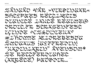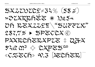$SZZZDZZZ \neq 32\% (58\%)$ \*\*\*\*\*\*\*\*\*\* \* 10254 Oh REXZZYT\"SUPPLY"  $287.7\%$  > SPECCAC PAKRERZKAPZZ 1 QJK  $52$   $\alpha$   $\alpha$ <sup>3</sup>  $\diamond$   $2$   $\alpha$   $\beta$   $\approx$   $3$   $\approx$ «CZZCh» 9.3 PEChZR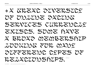• A GREAT diversity of online dating services currently exists. Some have  $X$  bro $XX$  membership looking for many different types of  $RZZXCLODOSKZPS.$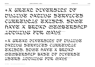•A great diversity of online dating services currently exists. Some have a broad membership base of diverse USERS LOOKING FOR MANY 32/40 pt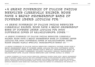•A great diversity of online dating services currently exists. Some have a broad membership base of diverse users looking for 24/30 pt

•A great diversity of online dating services currently exists. Some have a broad membership base of diverse users looking for many different types of relationships. Other 18/23 pt

•A great diversity of online dating services currently exists. Some have a broad membership base of diverse users looking for many different types of relationships. Other sites target highly specific demographics based on 14/17 pt

•A great diversity of online dating services currently exists. Some have a broad membership base of diverse users looking for many different types of relationships. Other sites target highly specific demographics based on features like shared interests, location, religion, sexual orientation or relationship type. Online dating services also differ widely in their 11/14 pt

 $\,\ast$ K great diversity of online dating services currently exists. Some have a broad membership base of diverse users looking for many different types of relationships. Other sites target highly specific demographics based on features like shared interests, location, religion, sexual orientation or relationship type. Online dating services also differ widely in their revenue streams. Some sites are completely free and depend on advertising for revenue. 9/12 pt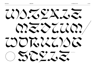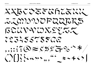XXBCZZZZRZZZZZZ LIMMUPQUERS BCUVVUXEZZZ  $2255755722$ , .; : : @ # x \$ y 7 % \* \* /  $O(33444)$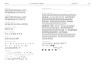PUNCTUATION  $\ldots, \ldots; \mathcal{E} \mathbf{m} \mathbin{\widetilde{\otimes}} \mathbf{0}$  .  $\mathcal{E} \{ \mathbf{0} \}$  is a set of  $\mathcal{E} \neq \mathcal{E}$  $2/22$ 

 $+$  +  $+$   $+$   $\times$   $\div$   $\div$   $\approx$   $=$   $\neq$   $\approx$   $\lt$   $\lt$   $\gt$   $\gt$   $\lt$   $\gt$   $\gt$  $\sim$   $\sim$   $\sim$   $\sim$   $\frac{1}{1}$   $\frac{1}{1}$   $\approx$   $\frac{8}{8}$   $\frac{8}{8}$   $\frac{8}{8}$   $\frac{8}{8}$   $\frac{8}{8}$  $\Delta \Omega X \pi \Delta \Pi \Sigma \sqrt{\infty}$ 

**MATHEMATICAL SYMBOLS** 

#### $0.0723255785$

**FIGURES** 

#### $X$   $X$   $Z$   $Y$   $Q$   $R$   $Q$   $Q$   $Z$

**STYLISTIC ALTERNATES** 

#### **THTAME**

CONTEXTUAL ALTERNATES

#### 200 202 200 55 56 22, 000 CC

STANDARD LIGATURES

#### XBCOEFGRLEULOM OPQRSSCUVOXYZ

**LOWERCASE** 

#### XBCOZFERIZKLON  $DPMRSECLVDXZZ$

**UPPERCASE** 

#### OTHER SYMBOLS  $\mathcal{L} \mathcal{I} \nabla \mathcal{I} \mathcal{I} \nabla \mathcal{I} \nabla \mathcal{I} \nabla \mathcal{I} \nabla \mathcal{I} \nabla \mathcal{I} \nabla \mathcal{I} \nabla \mathcal{I} \nabla \mathcal{I} \nabla \mathcal{I} \nabla \mathcal{I} \nabla \mathcal{I} \nabla \mathcal{I} \nabla \mathcal{I} \nabla \mathcal{I} \nabla \mathcal{I} \nabla \mathcal{I} \nabla \mathcal{I} \nabla \mathcal{I} \nabla \mathcal{I} \n$  $XD \circ \circ \Diamond \ominus \neg \mathcal{S}$  ←↑↓→⇔♪<sup>Ւ↗</sup>₩▲▼▶◀∡⊾◤◥ ■□◆◇●○◆◇●○米⋇

tatátá ââ uu iiaaasa អំអំអូអូអំអំ d ឆ្នាំចុប្បំបំបំបិប្ប័ប្ដិប្ដីបំ SSŠSŞŞŞSŠŠ ÇÇČČEC ŨÙŬŰŨŨŨŨŨŨŨŪŪŨŨŨŨŨŨŨŨUU ÖÖÖÖÖÖÖÖÖ ggéêğêggeege يخ بتو بتو بتو بتو بتو

*KXXXKRRKKRRRKKXXXXXXXX* 

ほぶだ しくらくちょくちょう シラシシシ

**ささささざさきえききまさきまえき** 

*EEEE GGGGGGGGGGG Rhah* 

**DIACRITICAL MARKS** \* \* <del>~</del> - *) / \** ^ \* v \* v \* o \* \* ~ *) / \** 

ACCENTED CHARACTERS

 $5.546C + 9.55$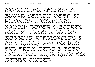CANGERINE CHESCINIC Sugar Yellow Deep 51 PEANUCS WATERGATE Xanith Rover 2-storey GEE 54 CENT BUBBLES Jobbing Application 8 to 7 Query 6-Nine but far from Zero 3 Eyed FAREWELL AQUA QUIEDCE ZEBRA CULLER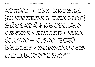$XCONX \approx 259$  GROSIS {UNUVERSXL REXLEE? SUDYXCK FRECYCIE?  $CZZQX \times ZZZZZK$  > 22 M  $(C.7722-C.522BCZ)$ BELLEE \* SUBSCANCES UUURUDATI RAYA

**LA BOLDE VITA** 

19/35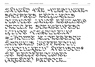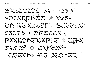\*\* ZXRRRFER \* 10254 Oh REXLIST "SUPPLY"  $287.7\%$  > SPECCXC PAKREREXPLE 1 QFX  $52.6 \, \Omega^5 \diamondsuit$  CXPZS cm «CZECh» 9.3 PEChER

**LA BOLDE VITA**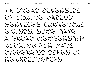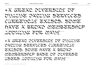# •A great diversity of online dating services currently exists. Some have a broad membership LOOUING FOR MANY

•A great diversity of online dating services currently exists. Some have a broad membership base of diverse USERS LOOKING FOR MANY 32/40 pt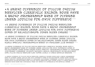$\,\ast$ X great diversity of online dating services currently exists. Some 6xve x broad membership base of diverse users looking for many different types of relationships. Other sites target highly specific demographics based on features like shared interests, location, religion, sexual orientation or relationship type. Online dating services also differ widely in their revenue streams. Some sites are completely free and depend on advertising for revenue. Others 9/12 pt

•A great diversity of online dating services currently exists. Some have a broad membership base of diverse users looking for many different types of relationships. Other sites target highly specific demographics based on features like shared interests, location, religion, sexual orientation or relationship type. Online dating services also differ widely in their revenue streams. 11/14 pt

•A great diversity of online dating services currently exists. Some have a broad membership base of diverse users looking for many different types of relationships. Other sites target highly specific demographics based on features like SHARED 14/17 pt

•A great diversity of online dating services currently exists. Some have a broad membership base of diverse users looking for many different types of relationships. Other sites target 18/23 pt

•A great diversity of online dating services currently exists. Some have a broad membership base of diverse users looking for many different 24/30 pt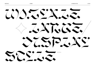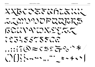XXBCZZZZKRZZZZZ LIMMUPQUERS BEUVVUXEER 72345578500  $\ldots$  :  $7077527$  $O(|\}$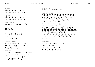PUNCTUATION  $1 / 4 / 1 / 7 / 7$ °<br>°««<del>»</del>»««<del>»</del>»«⇔»  $\sim$   $\wedge$  (0)[[]  $\{ \} \circled{0} \circled{0} \circled{0} \circled{0} \circled{0} \circled{0} \circled{0} \circled{0} \circled{1} + \$ 

 $+$  +  $+$   $\pm$   $\times$   $\times$   $\div$   $\approx$   $\approx$   $\neq$   $\approx$   $\lt$   $\lt$   $\gt$   $\gt$   $\le$   $\ge$   $\ge$  $\sim$   $\sim$   $\sim$   $\sim$   $\sim$   $\frac{1}{1}$   $\sim$   $\approx$  %  $\frac{9}{2}$  %  $\frac{9}{2}$  %  $\frac{9}{2}$  $\Delta \Omega \ddot{\alpha} \pi \Delta \Pi \Sigma \sigma$ 

**MATHEMATICAL SYMBOLS** 

#### $00723255785$

**FIGURES** 

#### $X$   $U$   $Z$   $Y$   $Z$   $R$   $Y$   $Z$   $Z$

**STYLISTIC ALTERNATES** 

#### 豆苁豆儿 200

CONTEXTUAL ALTERNATES

#### 200 202 200 CC Ch 22, 000 CC

**STANDARD LIGATURES** 

#### XBCOEFBRLEULONO OPQRSBCUVWXEZ

**LOWERCASE** 

#### XBCOEFBRLEULONO OPQRSSCUVOXEZ

**UPPERCASE** 

#### $XDOO$   $\Diamond$   $\ominus$   $\P$   $\leq$   $\frac{VA}{OM}$ ←↑↓→⇔⇕<sup>⋉↗</sup><sub>N⊬</sub>▲▼▶◀<sub>◢</sub>▸◥ **ॏ</u></u>●◇●○◆◇●△≭⋇**

OTHER SYMBOLS  $\mathcal{L}\mathcal{I}\nsubseteq\mathcal{I}\nsubseteq\mathcal{I}\nsubseteq\mathcal{I}\ncong\mathcal{I}\ncong(\mathbb{R})\mathbb{R}\mathbb{Q}\mathbb{C}\mathbb{Q}\mathbb{Q}\mathbb{P}\mathbb{P}\mathbb{P}^{\text{can}}$ 

#### *xxxxxxxxxxxxxxxxxxxxxxx* ほだだ しらくくらくらくらく もうさうもう รัธรรัธรัธรรัธรัธรรัธรรัธ arañ *dorrendado asa* tatátá ãã uun digogoodska BBBBBBBBBBBBBD600 มีมีมนุมีมี ฯ ธัญชุชิชิชิชิชิชิชิชิชิ ŚŚŚŚSSSSSŚŚ CCČČEC UUUUUUUUUUUUUUUUUUUUUU WWWWWWW LLLELER سے شعر سے شعر سے شعر<br>دیکھیے دیکھیے دیکھیے دیکھیے

**DIACRITICAL MARKS**  $-$  )  $\rightarrow$   $\land$   $\land$   $\lor$   $\lor$   $\lor$   $\lor$   $\circ$   $\circ$   $\leftrightarrow$   $\sim$   $\#$   $\rightarrow$   $\rightarrow$ 

**ACCENTED CHARACTERS** 

 $3.54679835$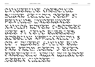CANGERINE CHESCINIC SUGAR YELLOW DEEP 57 PEANUCS WATERGATE Xanith Rover 2-storey GEE 54 CENT BUBBLES Jobbing Application 8 to 7 Query 6-Nine but far from Zero 3 Eyed FAREWELL AQUA QUIEDCE. ZEBRA CULLER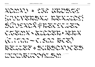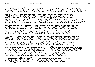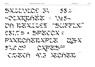$SXZ227277276(552)$ HOURRIER \* 1054 Oh REXIIST "SUFFIX"  $257.75 + 5727270$ PAXRCHERXPLE. QEX  $54.9 \Omega^5 \leftarrow 22 P 5.5$ 52/66 pt «CRECh 9.3 REChER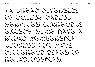# • A GREAT DIVERSITY of online dating SERVICES CURRENCIS exists. Some have a broad membership LOOKING FOR MANY different types of RELXCLOWSRIPS.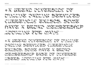•A great diversity of online dating services currently exists. Some have a broad membership base of diverse users looking for many 32/40pt

# •A great diversity of online dating services currently exists. Some have a broad membership LOOULISE FOR 0220SY 40/50 pt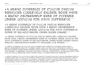•A great diversity of online dating services currently exists. Some have a broad membership base of diverse users looking for many different types of relationships. Other sites target highly specific demographics based on features like shared interests, location, religion, sexual orientation or relationship type. Online dating services also differ widely in their revenue streams. Some sites are completely free and depend on xovertising and an estime. She had

 $\ast$ X great diversity of online dating services currently exists. Some bave  $\mathrm{x}$ broad membership base of diverse users looking for many different types of relationships. Other sites target highly specific demographics based on features like shared interests, location, religion, sexual orientation or relationship type. Online dating services also differ widely in their revenue streams. 11/14 pt

•A great diversity of online dating services currently exists. Some have a broad membership base of diverse users looking for many different types of relationships. Other sites target highly specific demographics based on features like SHARED 14/17 pt

•A great diversity of online dating services currently exists. Some have a broad membership base of diverse users looking for many different types of relationships. Other sites target 18/23 pt

•A great diversity of online dating services currently exists. Some have a broad membership base of diverse users looking for many different 24/30 pt